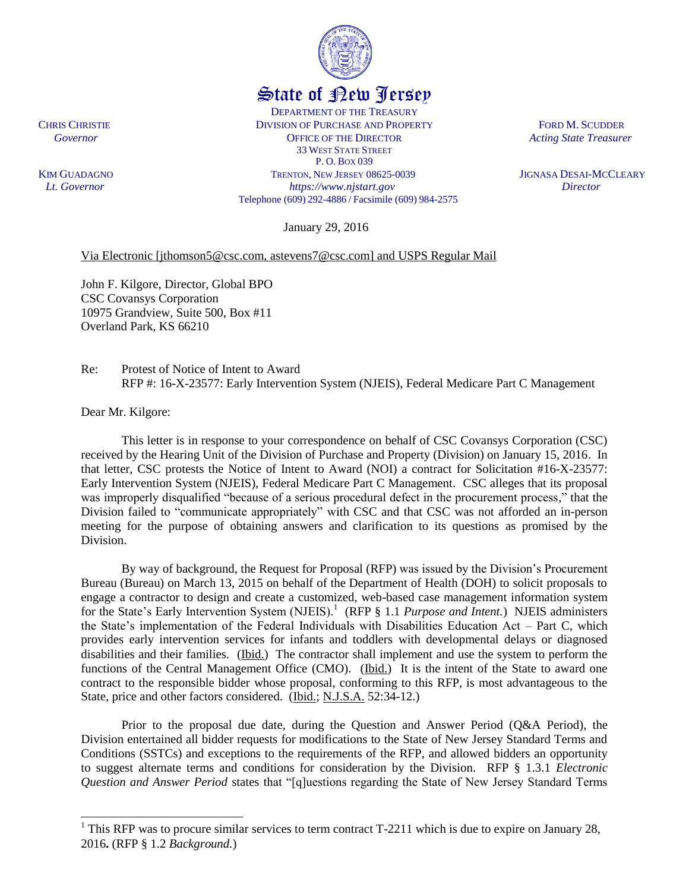## State of New Jersey

DEPARTMENT OF THE TREASURY CHRIS CHRISTIE DIVISION OF PURCHASE AND PROPERTY FORD M. SCUDDER **Covernor COVERGIST OF THE DIRECTOR** *Acting State Treasurer* 33 WEST STATE STREET P. O. BOX 039 KIM GUADAGNOTRENTON, NEW JERSEY 08625-0039 JIGNASA DESAI-MCCLEARY  *Lt. Governor https://www.njstart.gov Director* Telephone (609) 292-4886 / Facsimile (609) 984-2575

January 29, 2016

## Via Electronic [jthomson5@csc.com, astevens7@csc.com] and USPS Regular Mail

John F. Kilgore, Director, Global BPO CSC Covansys Corporation 10975 Grandview, Suite 500, Box #11 Overland Park, KS 66210

Re: Protest of Notice of Intent to Award RFP #: 16-X-23577: Early Intervention System (NJEIS), Federal Medicare Part C Management

Dear Mr. Kilgore:

 $\overline{a}$ 

This letter is in response to your correspondence on behalf of CSC Covansys Corporation (CSC) received by the Hearing Unit of the Division of Purchase and Property (Division) on January 15, 2016. In that letter, CSC protests the Notice of Intent to Award (NOI) a contract for Solicitation #16-X-23577: Early Intervention System (NJEIS), Federal Medicare Part C Management. CSC alleges that its proposal was improperly disqualified "because of a serious procedural defect in the procurement process," that the Division failed to "communicate appropriately" with CSC and that CSC was not afforded an in-person meeting for the purpose of obtaining answers and clarification to its questions as promised by the Division.

By way of background, the Request for Proposal (RFP) was issued by the Division's Procurement Bureau (Bureau) on March 13, 2015 on behalf of the Department of Health (DOH) to solicit proposals to engage a contractor to design and create a customized, web-based case management information system for the State's Early Intervention System (NJEIS).<sup>1</sup> (RFP § 1.1 *Purpose and Intent.*) NJEIS administers the State's implementation of the Federal Individuals with Disabilities Education Act – Part C, which provides early intervention services for infants and toddlers with developmental delays or diagnosed disabilities and their families. (Ibid.) The contractor shall implement and use the system to perform the functions of the Central Management Office (CMO). (Ibid.) It is the intent of the State to award one contract to the responsible bidder whose proposal, conforming to this RFP, is most advantageous to the State, price and other factors considered. (Ibid.; N.J.S.A. 52:34-12.)

Prior to the proposal due date, during the Question and Answer Period (Q&A Period), the Division entertained all bidder requests for modifications to the State of New Jersey Standard Terms and Conditions (SSTCs) and exceptions to the requirements of the RFP, and allowed bidders an opportunity to suggest alternate terms and conditions for consideration by the Division. RFP § 1.3.1 *Electronic Question and Answer Period* states that "[q]uestions regarding the State of New Jersey Standard Terms

 $1$  This RFP was to procure similar services to term contract T-2211 which is due to expire on January 28, 2016**.** (RFP § 1.2 *Background.*)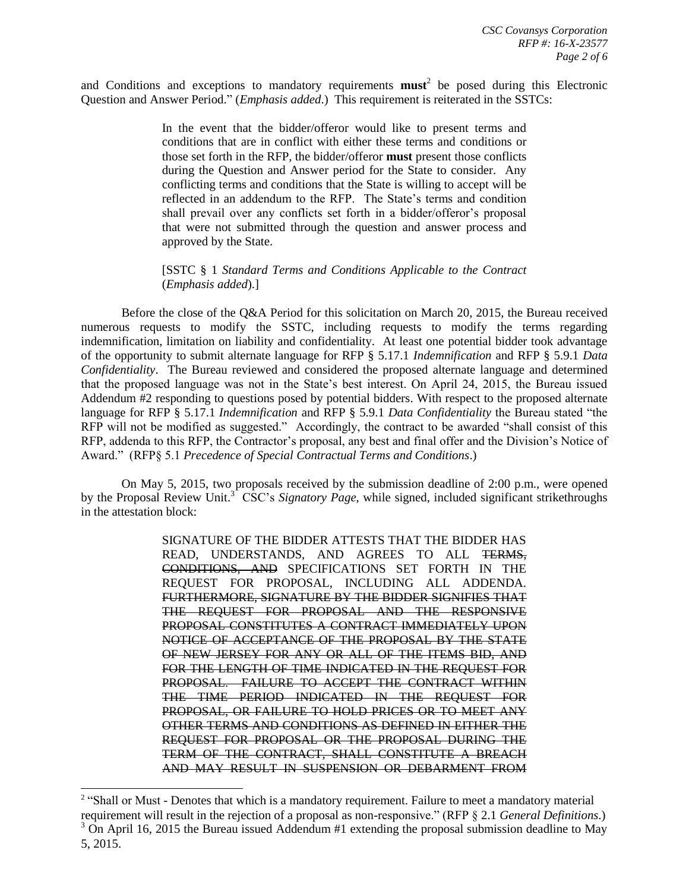and Conditions and exceptions to mandatory requirements **must**<sup>2</sup> be posed during this Electronic Question and Answer Period." (*Emphasis added*.) This requirement is reiterated in the SSTCs:

> In the event that the bidder/offeror would like to present terms and conditions that are in conflict with either these terms and conditions or those set forth in the RFP, the bidder/offeror **must** present those conflicts during the Question and Answer period for the State to consider. Any conflicting terms and conditions that the State is willing to accept will be reflected in an addendum to the RFP. The State's terms and condition shall prevail over any conflicts set forth in a bidder/offeror's proposal that were not submitted through the question and answer process and approved by the State.

## [SSTC § 1 *Standard Terms and Conditions Applicable to the Contract* (*Emphasis added*).]

Before the close of the Q&A Period for this solicitation on March 20, 2015, the Bureau received numerous requests to modify the SSTC, including requests to modify the terms regarding indemnification, limitation on liability and confidentiality. At least one potential bidder took advantage of the opportunity to submit alternate language for RFP § 5.17.1 *Indemnification* and RFP § 5.9.1 *Data Confidentiality*. The Bureau reviewed and considered the proposed alternate language and determined that the proposed language was not in the State's best interest. On April 24, 2015, the Bureau issued Addendum #2 responding to questions posed by potential bidders. With respect to the proposed alternate language for RFP § 5.17.1 *Indemnification* and RFP § 5.9.1 *Data Confidentiality* the Bureau stated "the RFP will not be modified as suggested." Accordingly, the contract to be awarded "shall consist of this RFP, addenda to this RFP, the Contractor's proposal, any best and final offer and the Division's Notice of Award." (RFP§ 5.1 *Precedence of Special Contractual Terms and Conditions*.)

On May 5, 2015, two proposals received by the submission deadline of 2:00 p.m., were opened by the Proposal Review Unit.<sup>3</sup> CSC's *Signatory Page*, while signed, included significant strikethroughs in the attestation block:

> SIGNATURE OF THE BIDDER ATTESTS THAT THE BIDDER HAS READ, UNDERSTANDS, AND AGREES TO ALL TERMS, CONDITIONS, AND SPECIFICATIONS SET FORTH IN THE REQUEST FOR PROPOSAL, INCLUDING ALL ADDENDA. FURTHERMORE, SIGNATURE BY THE BIDDER SIGNIFIES THAT THE REQUEST FOR PROPOSAL AND THE RESPONSIVE PROPOSAL CONSTITUTES A CONTRACT IMMEDIATELY UPON NOTICE OF ACCEPTANCE OF THE PROPOSAL BY THE STATE OF NEW JERSEY FOR ANY OR ALL OF THE ITEMS BID, AND FOR THE LENGTH OF TIME INDICATED IN THE REQUEST FOR PROPOSAL. FAILURE TO ACCEPT THE CONTRACT WITHIN THE TIME PERIOD INDICATED IN THE REQUEST FOR PROPOSAL, OR FAILURE TO HOLD PRICES OR TO MEET ANY OTHER TERMS AND CONDITIONS AS DEFINED IN EITHER THE REQUEST FOR PROPOSAL OR THE PROPOSAL DURING THE TERM OF THE CONTRACT, SHALL CONSTITUTE A BREACH AND MAY RESULT IN SUSPENSION OR DEBARMENT FROM

l

<sup>&</sup>lt;sup>2</sup> "Shall or Must - Denotes that which is a mandatory requirement. Failure to meet a mandatory material requirement will result in the rejection of a proposal as non-responsive." (RFP § 2.1 *General Definitions*.)  $3$  On April 16, 2015 the Bureau issued Addendum #1 extending the proposal submission deadline to May 5, 2015.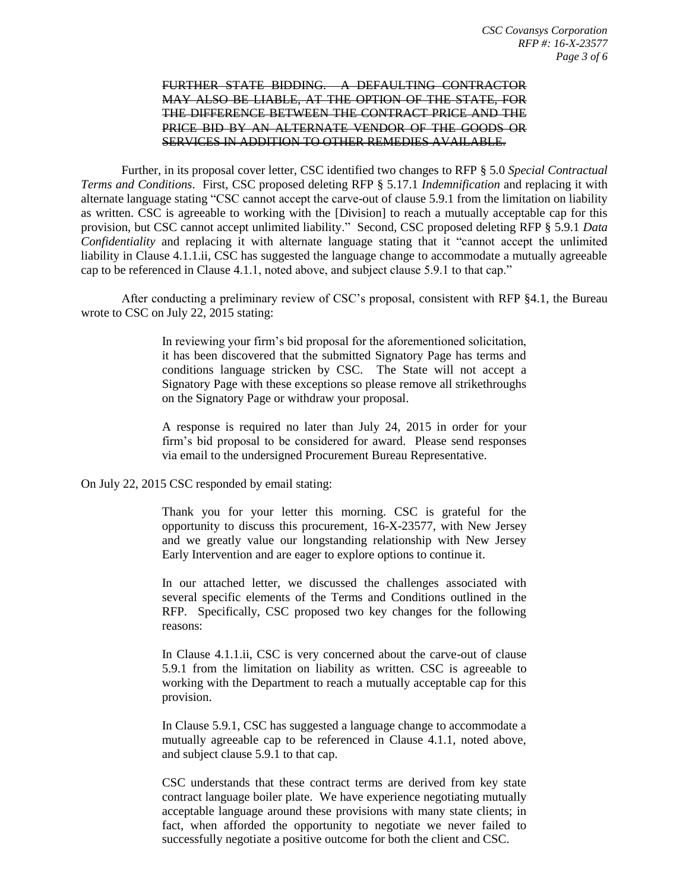## FURTHER STATE BIDDING. A DEFAULTING CONTRACTOR MAY ALSO BE LIABLE, AT THE OPTION OF THE STATE, FOR THE DIFFERENCE BETWEEN THE CONTRACT PRICE AND THE PRICE BID BY AN ALTERNATE VENDOR OF THE GOODS OR SERVICES IN ADDITION TO OTHER REMEDIES AVAILABLE.

Further, in its proposal cover letter, CSC identified two changes to RFP § 5.0 *Special Contractual Terms and Conditions*. First, CSC proposed deleting RFP § 5.17.1 *Indemnification* and replacing it with alternate language stating "CSC cannot accept the carve-out of clause 5.9.1 from the limitation on liability as written. CSC is agreeable to working with the [Division] to reach a mutually acceptable cap for this provision, but CSC cannot accept unlimited liability." Second, CSC proposed deleting RFP § 5.9.1 *Data Confidentiality* and replacing it with alternate language stating that it "cannot accept the unlimited liability in Clause 4.1.1.ii, CSC has suggested the language change to accommodate a mutually agreeable cap to be referenced in Clause 4.1.1, noted above, and subject clause 5.9.1 to that cap."

After conducting a preliminary review of CSC's proposal, consistent with RFP §4.1, the Bureau wrote to CSC on July 22, 2015 stating:

> In reviewing your firm's bid proposal for the aforementioned solicitation, it has been discovered that the submitted Signatory Page has terms and conditions language stricken by CSC. The State will not accept a Signatory Page with these exceptions so please remove all strikethroughs on the Signatory Page or withdraw your proposal.

> A response is required no later than July 24, 2015 in order for your firm's bid proposal to be considered for award. Please send responses via email to the undersigned Procurement Bureau Representative.

On July 22, 2015 CSC responded by email stating:

Thank you for your letter this morning. CSC is grateful for the opportunity to discuss this procurement, 16-X-23577, with New Jersey and we greatly value our longstanding relationship with New Jersey Early Intervention and are eager to explore options to continue it.

In our attached letter, we discussed the challenges associated with several specific elements of the Terms and Conditions outlined in the RFP. Specifically, CSC proposed two key changes for the following reasons:

In Clause 4.1.1.ii, CSC is very concerned about the carve-out of clause 5.9.1 from the limitation on liability as written. CSC is agreeable to working with the Department to reach a mutually acceptable cap for this provision.

In Clause 5.9.1, CSC has suggested a language change to accommodate a mutually agreeable cap to be referenced in Clause 4.1.1, noted above, and subject clause 5.9.1 to that cap.

CSC understands that these contract terms are derived from key state contract language boiler plate. We have experience negotiating mutually acceptable language around these provisions with many state clients; in fact, when afforded the opportunity to negotiate we never failed to successfully negotiate a positive outcome for both the client and CSC.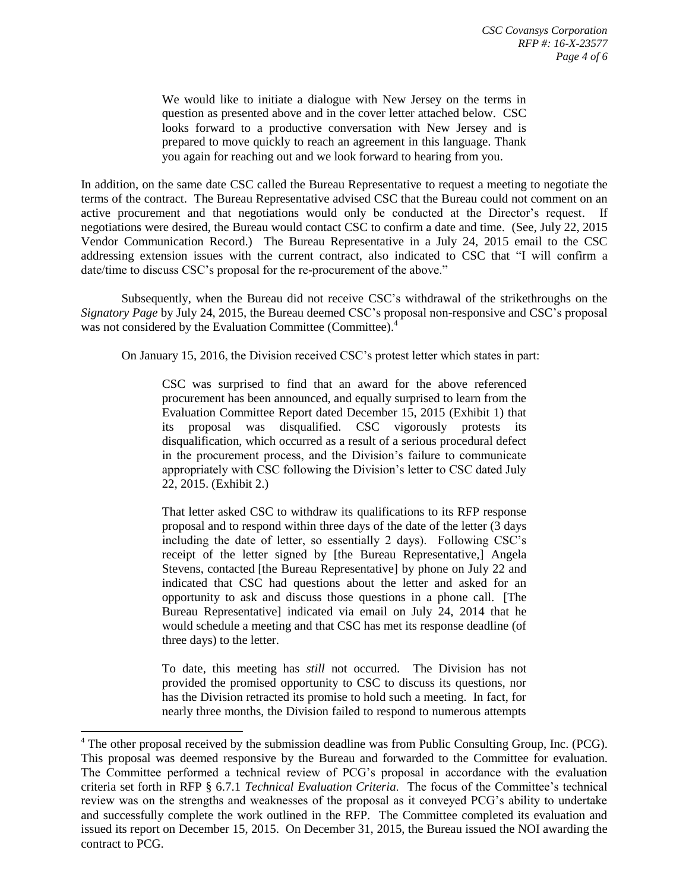We would like to initiate a dialogue with New Jersey on the terms in question as presented above and in the cover letter attached below. CSC looks forward to a productive conversation with New Jersey and is prepared to move quickly to reach an agreement in this language. Thank you again for reaching out and we look forward to hearing from you.

In addition, on the same date CSC called the Bureau Representative to request a meeting to negotiate the terms of the contract. The Bureau Representative advised CSC that the Bureau could not comment on an active procurement and that negotiations would only be conducted at the Director's request. If negotiations were desired, the Bureau would contact CSC to confirm a date and time. (See, July 22, 2015 Vendor Communication Record.) The Bureau Representative in a July 24, 2015 email to the CSC addressing extension issues with the current contract, also indicated to CSC that "I will confirm a date/time to discuss CSC's proposal for the re-procurement of the above."

Subsequently, when the Bureau did not receive CSC's withdrawal of the strikethroughs on the *Signatory Page* by July 24, 2015, the Bureau deemed CSC's proposal non-responsive and CSC's proposal was not considered by the Evaluation Committee (Committee).<sup>4</sup>

On January 15, 2016, the Division received CSC's protest letter which states in part:

CSC was surprised to find that an award for the above referenced procurement has been announced, and equally surprised to learn from the Evaluation Committee Report dated December 15, 2015 (Exhibit 1) that its proposal was disqualified. CSC vigorously protests its disqualification, which occurred as a result of a serious procedural defect in the procurement process, and the Division's failure to communicate appropriately with CSC following the Division's letter to CSC dated July 22, 2015. (Exhibit 2.)

That letter asked CSC to withdraw its qualifications to its RFP response proposal and to respond within three days of the date of the letter (3 days including the date of letter, so essentially 2 days). Following CSC's receipt of the letter signed by [the Bureau Representative,] Angela Stevens, contacted [the Bureau Representative] by phone on July 22 and indicated that CSC had questions about the letter and asked for an opportunity to ask and discuss those questions in a phone call. [The Bureau Representative] indicated via email on July 24, 2014 that he would schedule a meeting and that CSC has met its response deadline (of three days) to the letter.

To date, this meeting has *still* not occurred. The Division has not provided the promised opportunity to CSC to discuss its questions, nor has the Division retracted its promise to hold such a meeting. In fact, for nearly three months, the Division failed to respond to numerous attempts

l

<sup>4</sup> The other proposal received by the submission deadline was from Public Consulting Group, Inc. (PCG). This proposal was deemed responsive by the Bureau and forwarded to the Committee for evaluation. The Committee performed a technical review of PCG's proposal in accordance with the evaluation criteria set forth in RFP § 6.7.1 *Technical Evaluation Criteria*. The focus of the Committee's technical review was on the strengths and weaknesses of the proposal as it conveyed PCG's ability to undertake and successfully complete the work outlined in the RFP. The Committee completed its evaluation and issued its report on December 15, 2015. On December 31, 2015, the Bureau issued the NOI awarding the contract to PCG.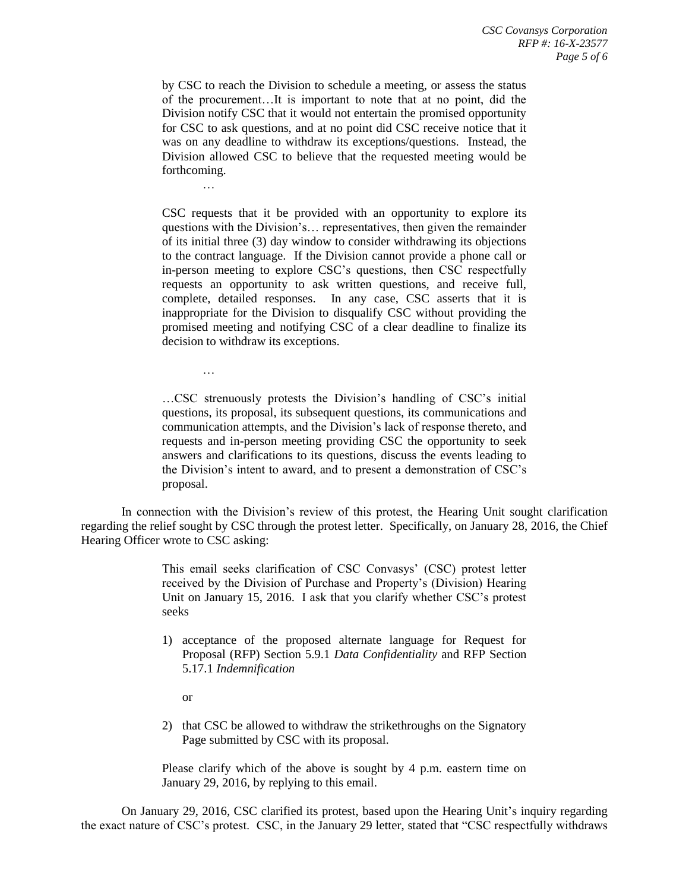by CSC to reach the Division to schedule a meeting, or assess the status of the procurement…It is important to note that at no point, did the Division notify CSC that it would not entertain the promised opportunity for CSC to ask questions, and at no point did CSC receive notice that it was on any deadline to withdraw its exceptions/questions. Instead, the Division allowed CSC to believe that the requested meeting would be forthcoming.

CSC requests that it be provided with an opportunity to explore its questions with the Division's… representatives, then given the remainder of its initial three (3) day window to consider withdrawing its objections to the contract language. If the Division cannot provide a phone call or in-person meeting to explore CSC's questions, then CSC respectfully requests an opportunity to ask written questions, and receive full, complete, detailed responses. In any case, CSC asserts that it is inappropriate for the Division to disqualify CSC without providing the promised meeting and notifying CSC of a clear deadline to finalize its decision to withdraw its exceptions.

…CSC strenuously protests the Division's handling of CSC's initial questions, its proposal, its subsequent questions, its communications and communication attempts, and the Division's lack of response thereto, and requests and in-person meeting providing CSC the opportunity to seek answers and clarifications to its questions, discuss the events leading to the Division's intent to award, and to present a demonstration of CSC's proposal.

In connection with the Division's review of this protest, the Hearing Unit sought clarification regarding the relief sought by CSC through the protest letter. Specifically, on January 28, 2016, the Chief Hearing Officer wrote to CSC asking:

> This email seeks clarification of CSC Convasys' (CSC) protest letter received by the Division of Purchase and Property's (Division) Hearing Unit on January 15, 2016. I ask that you clarify whether CSC's protest seeks

- 1) acceptance of the proposed alternate language for Request for Proposal (RFP) Section 5.9.1 *Data Confidentiality* and RFP Section 5.17.1 *Indemnification*
	- or

…

…

2) that CSC be allowed to withdraw the strikethroughs on the Signatory Page submitted by CSC with its proposal.

Please clarify which of the above is sought by 4 p.m. eastern time on January 29, 2016, by replying to this email.

On January 29, 2016, CSC clarified its protest, based upon the Hearing Unit's inquiry regarding the exact nature of CSC's protest. CSC, in the January 29 letter, stated that "CSC respectfully withdraws